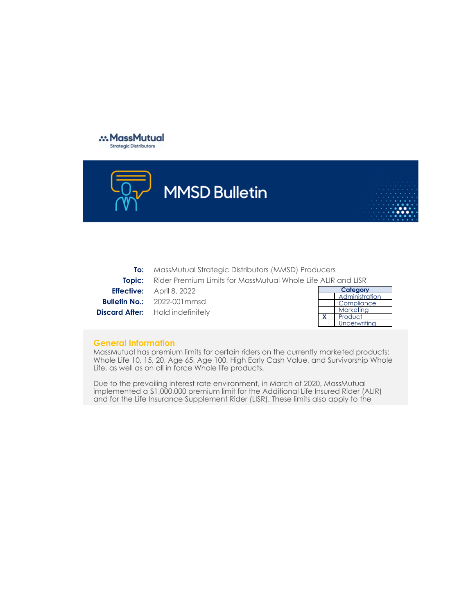



**Category Compliance** Marketing **To:** MassMutual Strategic Distributors (MMSD) Producers **Topic:** Rider Premium Limits for MassMutual Whole Life ALIR and LISR **Effective:** April 8, 2022 **Bulletin No.:** 2022-001mmsd **Discard After:** Hold indefinitely

| Category |                |  |
|----------|----------------|--|
|          | Administration |  |
|          | Compliance     |  |
|          | Marketing      |  |
| x        | Product        |  |
|          | Underwriting   |  |

## **General Information**

MassMutual has premium limits for certain riders on the currently marketed products: Whole Life 10, 15, 20, Age 65, Age 100, High Early Cash Value, and Survivorship Whole Life, as well as on all in force Whole life products.

Due to the prevailing interest rate environment, in March of 2020, MassMutual implemented a \$1,000,000 premium limit for the Additional Life Insured Rider (ALIR) and for the Life Insurance Supplement Rider (LISR). These limits also apply to the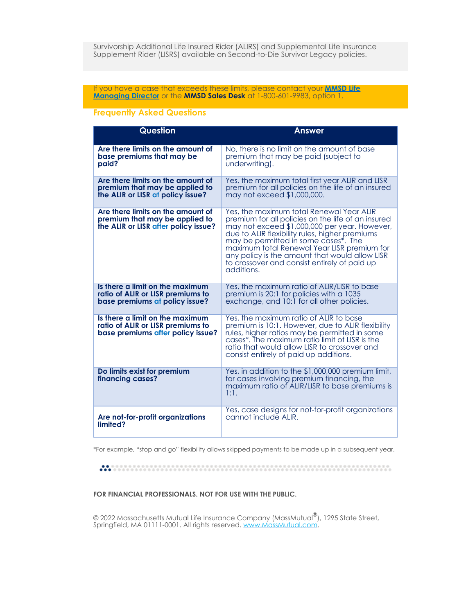## If you have a case that exceeds these limits, please contact your **[MMSD Life](https://fieldnet.massmutual.com/public/life/pdfs/sd7006.pdf) [Managing Director](https://fieldnet.massmutual.com/public/life/pdfs/sd7006.pdf)** or the **MMSD Sales Desk** at 1-800-601-9983, option 1.

## **Frequently Asked Questions**

| <b>Question</b>                                                                                             | Answer                                                                                                                                                                                                                                                                                                                                                                                                   |
|-------------------------------------------------------------------------------------------------------------|----------------------------------------------------------------------------------------------------------------------------------------------------------------------------------------------------------------------------------------------------------------------------------------------------------------------------------------------------------------------------------------------------------|
| Are there limits on the amount of                                                                           | No, there is no limit on the amount of base                                                                                                                                                                                                                                                                                                                                                              |
| base premiums that may be                                                                                   | premium that may be paid (subject to                                                                                                                                                                                                                                                                                                                                                                     |
| paid?                                                                                                       | underwriting).                                                                                                                                                                                                                                                                                                                                                                                           |
| Are there limits on the amount of                                                                           | Yes, the maximum total first year ALIR and LISR                                                                                                                                                                                                                                                                                                                                                          |
| premium that may be applied to                                                                              | premium for all policies on the life of an insured                                                                                                                                                                                                                                                                                                                                                       |
| the ALIR or LISR at policy issue?                                                                           | may not exceed \$1,000,000.                                                                                                                                                                                                                                                                                                                                                                              |
| Are there limits on the amount of<br>premium that may be applied to<br>the ALIR or LISR after policy issue? | Yes, the maximum total Renewal Year ALIR<br>premium for all policies on the life of an insured<br>may not exceed \$1,000,000 per year. However,<br>due to ALIR flexibility rules, higher premiums<br>may be permitted in some cases*. The<br>maximum total Renewal Year LISR premium for<br>any policy is the amount that would allow LISR<br>to crossover and consist entirely of paid up<br>additions. |
| Is there a limit on the maximum                                                                             | Yes, the maximum ratio of ALIR/LISR to base                                                                                                                                                                                                                                                                                                                                                              |
| ratio of ALIR or LISR premiums to                                                                           | premium is 20:1 for policies with a 1035                                                                                                                                                                                                                                                                                                                                                                 |
| base premiums at policy issue?                                                                              | exchange, and 10:1 for all other policies.                                                                                                                                                                                                                                                                                                                                                               |
| Is there a limit on the maximum<br>ratio of ALIR or LISR premiums to<br>base premiums after policy issue?   | Yes, the maximum ratio of ALIR to base<br>premium is 10:1. However, due to ALIR flexibility<br>rules, higher ratios may be permitted in some<br>cases <sup>*</sup> . The maximum ratio limit of LISR is the<br>ratio that would allow LISR to crossover and<br>consist entirely of paid up additions.                                                                                                    |
| Do limits exist for premium<br>financing cases?                                                             | Yes, in addition to the \$1,000,000 premium limit,<br>for cases involving premium financing, the<br>maximum ratio of ALIR/LISR to base premiums is<br>1:1.                                                                                                                                                                                                                                               |
| Are not-for-profit organizations                                                                            | Yes, case designs for not-for-profit organizations                                                                                                                                                                                                                                                                                                                                                       |
| limited?                                                                                                    | cannot include ALIR.                                                                                                                                                                                                                                                                                                                                                                                     |

\*For example, "stop and go" flexibility allows skipped payments to be made up in a subsequent year.

## **FOR FINANCIAL PROFESSIONALS. NOT FOR USE WITH THE PUBLIC.**

© 2022 Massachusetts Mutual Life Insurance Company (MassMutual'''), 1295 State Street, Springfield, MA 01111-0001. All rights reserved. [www.MassMutual.com](https://www.massmutual.com/). ®